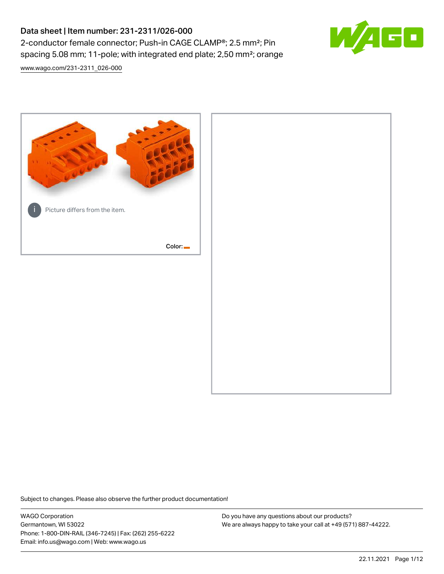# Data sheet | Item number: 231-2311/026-000 2-conductor female connector; Push-in CAGE CLAMP®; 2.5 mm²; Pin spacing 5.08 mm; 11-pole; with integrated end plate; 2,50 mm²; orange

[www.wago.com/231-2311\\_026-000](http://www.wago.com/231-2311_026-000)



Subject to changes. Please also observe the further product documentation!

WAGO Corporation Germantown, WI 53022 Phone: 1-800-DIN-RAIL (346-7245) | Fax: (262) 255-6222 Email: info.us@wago.com | Web: www.wago.us

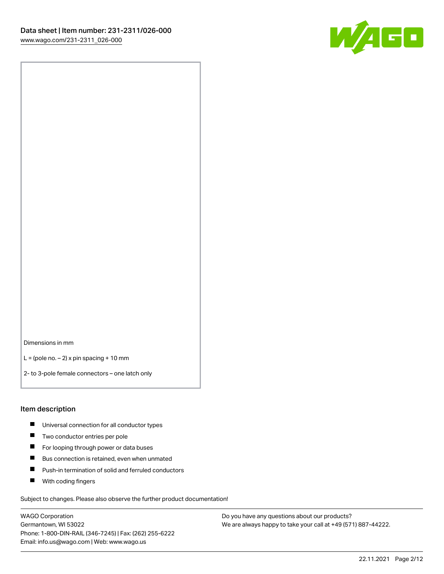

Dimensions in mm

 $L =$  (pole no.  $-2$ ) x pin spacing + 10 mm

2- to 3-pole female connectors – one latch only

#### Item description

- **Universal connection for all conductor types**
- **Two conductor entries per pole**
- $\blacksquare$ For looping through power or data buses
- $\blacksquare$ Bus connection is retained, even when unmated
- $\blacksquare$ Push-in termination of solid and ferruled conductors
- $\blacksquare$ With coding fingers

Subject to changes. Please also observe the further product documentation!

WAGO Corporation Germantown, WI 53022 Phone: 1-800-DIN-RAIL (346-7245) | Fax: (262) 255-6222 Email: info.us@wago.com | Web: www.wago.us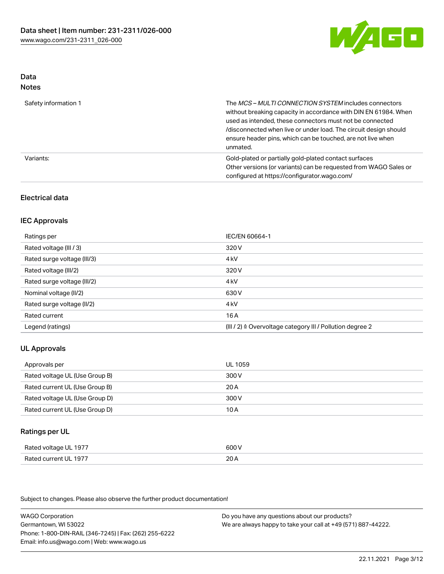

#### Data Notes

| .                    |                                                                                                                                                                                                                                                                                                                                   |
|----------------------|-----------------------------------------------------------------------------------------------------------------------------------------------------------------------------------------------------------------------------------------------------------------------------------------------------------------------------------|
| Safety information 1 | The MCS-MULTI CONNECTION SYSTEM includes connectors<br>without breaking capacity in accordance with DIN EN 61984. When<br>used as intended, these connectors must not be connected<br>/disconnected when live or under load. The circuit design should<br>ensure header pins, which can be touched, are not live when<br>unmated. |
| Variants:            | Gold-plated or partially gold-plated contact surfaces<br>Other versions (or variants) can be requested from WAGO Sales or<br>configured at https://configurator.wago.com/                                                                                                                                                         |

### Electrical data

### IEC Approvals

| Ratings per                 | IEC/EN 60664-1                                                        |
|-----------------------------|-----------------------------------------------------------------------|
| Rated voltage (III / 3)     | 320 V                                                                 |
| Rated surge voltage (III/3) | 4 <sub>k</sub> V                                                      |
| Rated voltage (III/2)       | 320 V                                                                 |
| Rated surge voltage (III/2) | 4 <sub>k</sub> V                                                      |
| Nominal voltage (II/2)      | 630 V                                                                 |
| Rated surge voltage (II/2)  | 4 <sub>k</sub> V                                                      |
| Rated current               | 16A                                                                   |
| Legend (ratings)            | $(III / 2)$ $\triangle$ Overvoltage category III / Pollution degree 2 |

### UL Approvals

| Approvals per                  | UL 1059 |
|--------------------------------|---------|
| Rated voltage UL (Use Group B) | 300 V   |
| Rated current UL (Use Group B) | 20 A    |
| Rated voltage UL (Use Group D) | 300 V   |
| Rated current UL (Use Group D) | 10 A    |

#### Ratings per UL

| Rated voltage UL 1977 | 600 V |
|-----------------------|-------|
| Rated current UL 1977 | 20A   |

Subject to changes. Please also observe the further product documentation!

WAGO Corporation Germantown, WI 53022 Phone: 1-800-DIN-RAIL (346-7245) | Fax: (262) 255-6222 Email: info.us@wago.com | Web: www.wago.us Do you have any questions about our products? We are always happy to take your call at +49 (571) 887-44222.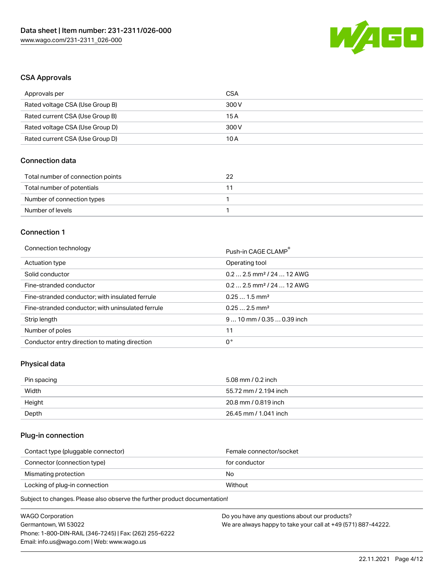

### CSA Approvals

| Approvals per                   | CSA   |
|---------------------------------|-------|
| Rated voltage CSA (Use Group B) | 300 V |
| Rated current CSA (Use Group B) | 15 A  |
| Rated voltage CSA (Use Group D) | 300 V |
| Rated current CSA (Use Group D) | 10 A  |

### Connection data

| Total number of connection points | つつ |
|-----------------------------------|----|
| Total number of potentials        |    |
| Number of connection types        |    |
| Number of levels                  |    |

#### Connection 1

#### Connection technology **Push-in CAGE CLAMP<sup>®</sup>**

|                                                   | Push-in CAGE CLAMP                     |
|---------------------------------------------------|----------------------------------------|
| Actuation type                                    | Operating tool                         |
| Solid conductor                                   | $0.2$ 2.5 mm <sup>2</sup> / 24  12 AWG |
| Fine-stranded conductor                           | $0.22.5$ mm <sup>2</sup> / 24  12 AWG  |
| Fine-stranded conductor; with insulated ferrule   | $0.251.5$ mm <sup>2</sup>              |
| Fine-stranded conductor; with uninsulated ferrule | $0.252.5$ mm <sup>2</sup>              |
| Strip length                                      | $910$ mm / 0.35  0.39 inch             |
| Number of poles                                   | 11                                     |
| Conductor entry direction to mating direction     | 0°                                     |
|                                                   |                                        |

## Physical data

| Pin spacing | 5.08 mm / 0.2 inch    |
|-------------|-----------------------|
| Width       | 55.72 mm / 2.194 inch |
| Height      | 20.8 mm / 0.819 inch  |
| Depth       | 26.45 mm / 1.041 inch |

### Plug-in connection

| Female connector/socket |
|-------------------------|
| for conductor           |
| No.                     |
| Without                 |
|                         |

Subject to changes. Please also observe the further product documentation!

| <b>WAGO Corporation</b>                                | Do you have any questions about our products?                 |
|--------------------------------------------------------|---------------------------------------------------------------|
| Germantown, WI 53022                                   | We are always happy to take your call at +49 (571) 887-44222. |
| Phone: 1-800-DIN-RAIL (346-7245)   Fax: (262) 255-6222 |                                                               |
| Email: info.us@wago.com   Web: www.wago.us             |                                                               |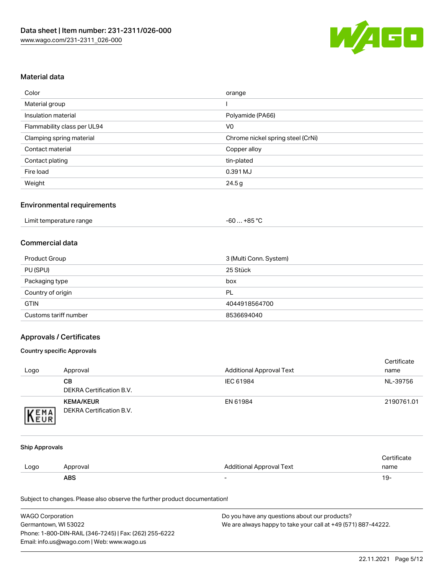

### Material data

| Color                       | orange                            |
|-----------------------------|-----------------------------------|
| Material group              |                                   |
| Insulation material         | Polyamide (PA66)                  |
| Flammability class per UL94 | V <sub>0</sub>                    |
| Clamping spring material    | Chrome nickel spring steel (CrNi) |
| Contact material            | Copper alloy                      |
| Contact plating             | tin-plated                        |
| Fire load                   | 0.391 MJ                          |
| Weight                      | 24.5g                             |

#### Environmental requirements

|  | Limit temperature range | -60  +85 °Ր |  |
|--|-------------------------|-------------|--|
|--|-------------------------|-------------|--|

### Commercial data

| Product Group         | 3 (Multi Conn. System) |
|-----------------------|------------------------|
| PU (SPU)              | 25 Stück               |
| Packaging type        | box                    |
| Country of origin     | PL                     |
| <b>GTIN</b>           | 4044918564700          |
| Customs tariff number | 8536694040             |

### Approvals / Certificates

#### Country specific Approvals

| Logo                | Approval                                     | Additional Approval Text | Certificate<br>name |
|---------------------|----------------------------------------------|--------------------------|---------------------|
|                     | CВ<br><b>DEKRA Certification B.V.</b>        | IEC 61984                | NL-39756            |
| EMA<br><b>INEUR</b> | <b>KEMA/KEUR</b><br>DEKRA Certification B.V. | EN 61984                 | 2190761.01          |

#### Ship Approvals

|      | ABS      | -                        | ۱9۰                     |
|------|----------|--------------------------|-------------------------|
| Logo | Approval | Additional Approval Text | name                    |
|      |          |                          | ertificate <sup>2</sup> |

Subject to changes. Please also observe the further product documentation!

| <b>WAGO Corporation</b>                                | Do you have any questions about our products?                 |
|--------------------------------------------------------|---------------------------------------------------------------|
| Germantown, WI 53022                                   | We are always happy to take your call at +49 (571) 887-44222. |
| Phone: 1-800-DIN-RAIL (346-7245)   Fax: (262) 255-6222 |                                                               |
| Email: info.us@wago.com   Web: www.wago.us             |                                                               |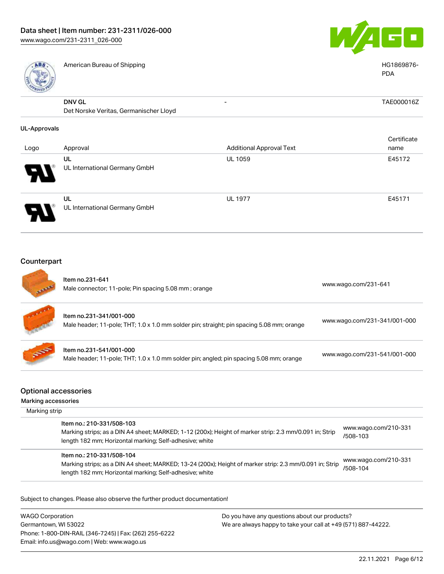

| American Bureau of Shipping                                             |                                                                                         | HG1869876-<br><b>PDA</b>                                                                                                                                         |
|-------------------------------------------------------------------------|-----------------------------------------------------------------------------------------|------------------------------------------------------------------------------------------------------------------------------------------------------------------|
| <b>DNV GL</b><br>Det Norske Veritas, Germanischer Lloyd                 |                                                                                         | TAE000016Z                                                                                                                                                       |
|                                                                         |                                                                                         |                                                                                                                                                                  |
| Approval                                                                |                                                                                         | Certificate<br>name                                                                                                                                              |
| <b>UL</b><br>UL International Germany GmbH                              |                                                                                         | E45172                                                                                                                                                           |
| UL<br>UL International Germany GmbH                                     |                                                                                         | E45171                                                                                                                                                           |
|                                                                         |                                                                                         |                                                                                                                                                                  |
| Item no.231-641<br>Male connector; 11-pole; Pin spacing 5.08 mm; orange |                                                                                         | www.wago.com/231-641                                                                                                                                             |
| Item no.231-341/001-000                                                 |                                                                                         | www.wago.com/231-341/001-000                                                                                                                                     |
| Item no.231-541/001-000                                                 | Male header; 11-pole; THT; 1.0 x 1.0 mm solder pin; angled; pin spacing 5.08 mm; orange | www.wago.com/231-541/001-000                                                                                                                                     |
|                                                                         | <b>UL-Approvals</b><br>Counterpart                                                      | <b>Additional Approval Text</b><br><b>UL 1059</b><br><b>UL 1977</b><br>Male header; 11-pole; THT; 1.0 x 1.0 mm solder pin; straight; pin spacing 5.08 mm; orange |

### Optional accessories

Marking accessories

| Marking strip                                                                                                                                                                                   |                                  |  |  |  |
|-------------------------------------------------------------------------------------------------------------------------------------------------------------------------------------------------|----------------------------------|--|--|--|
| Item no.: 210-331/508-103<br>Marking strips; as a DIN A4 sheet; MARKED; 1-12 (200x); Height of marker strip: 2.3 mm/0.091 in; Strip<br>length 182 mm; Horizontal marking; Self-adhesive; white  | www.wago.com/210-331<br>/508-103 |  |  |  |
| Item no.: 210-331/508-104<br>Marking strips; as a DIN A4 sheet; MARKED; 13-24 (200x); Height of marker strip: 2.3 mm/0.091 in; Strip<br>length 182 mm; Horizontal marking; Self-adhesive; white | www.wago.com/210-331<br>/508-104 |  |  |  |

Subject to changes. Please also observe the further product documentation!

WAGO Corporation Germantown, WI 53022 Phone: 1-800-DIN-RAIL (346-7245) | Fax: (262) 255-6222 Email: info.us@wago.com | Web: www.wago.us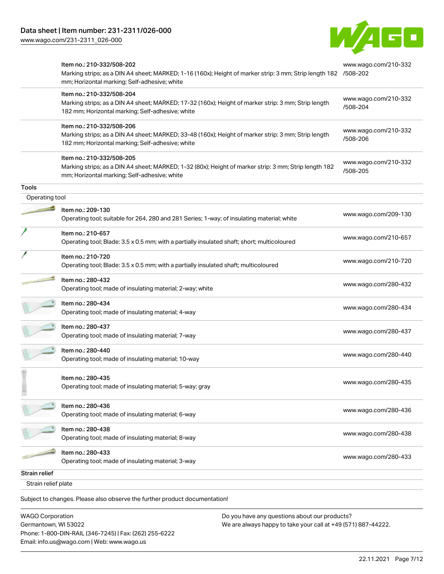[www.wago.com/231-2311\\_026-000](http://www.wago.com/231-2311_026-000)



|                     | Item no.: 210-332/508-202<br>Marking strips; as a DIN A4 sheet; MARKED; 1-16 (160x); Height of marker strip: 3 mm; Strip length 182 /508-202<br>mm; Horizontal marking; Self-adhesive; white | www.wago.com/210-332             |
|---------------------|----------------------------------------------------------------------------------------------------------------------------------------------------------------------------------------------|----------------------------------|
|                     | Item no.: 210-332/508-204<br>Marking strips; as a DIN A4 sheet; MARKED; 17-32 (160x); Height of marker strip: 3 mm; Strip length<br>182 mm; Horizontal marking; Self-adhesive; white         | www.wago.com/210-332<br>/508-204 |
|                     | Item no.: 210-332/508-206<br>Marking strips; as a DIN A4 sheet; MARKED; 33-48 (160x); Height of marker strip: 3 mm; Strip length<br>182 mm; Horizontal marking; Self-adhesive; white         | www.wago.com/210-332<br>/508-206 |
|                     | Item no.: 210-332/508-205<br>Marking strips; as a DIN A4 sheet; MARKED; 1-32 (80x); Height of marker strip: 3 mm; Strip length 182<br>mm; Horizontal marking; Self-adhesive; white           | www.wago.com/210-332<br>/508-205 |
| <b>Tools</b>        |                                                                                                                                                                                              |                                  |
| Operating tool      |                                                                                                                                                                                              |                                  |
|                     | Item no.: 209-130<br>Operating tool; suitable for 264, 280 and 281 Series; 1-way; of insulating material; white                                                                              | www.wago.com/209-130             |
|                     | Item no.: 210-657<br>Operating tool; Blade: 3.5 x 0.5 mm; with a partially insulated shaft; short; multicoloured                                                                             | www.wago.com/210-657             |
|                     | Item no.: 210-720<br>Operating tool; Blade: 3.5 x 0.5 mm; with a partially insulated shaft; multicoloured                                                                                    | www.wago.com/210-720             |
|                     | Item no.: 280-432<br>Operating tool; made of insulating material; 2-way; white                                                                                                               | www.wago.com/280-432             |
|                     | Item no.: 280-434<br>Operating tool; made of insulating material; 4-way                                                                                                                      | www.wago.com/280-434             |
|                     | Item no.: 280-437<br>Operating tool; made of insulating material; 7-way                                                                                                                      | www.wago.com/280-437             |
|                     | Item no.: 280-440<br>Operating tool; made of insulating material; 10-way                                                                                                                     | www.wago.com/280-440             |
|                     | Item no.: 280-435<br>Operating tool; made of insulating material; 5-way; gray                                                                                                                | www.wago.com/280-435             |
|                     | Item no.: 280-436<br>Operating tool; made of insulating material; 6-way                                                                                                                      | www.wago.com/280-436             |
|                     | Item no.: 280-438<br>Operating tool; made of insulating material; 8-way                                                                                                                      | www.wago.com/280-438             |
|                     | Item no.: 280-433<br>Operating tool; made of insulating material; 3-way                                                                                                                      | www.wago.com/280-433             |
| Strain relief       |                                                                                                                                                                                              |                                  |
| Strain relief plate |                                                                                                                                                                                              |                                  |
|                     | Subject to changes. Please also observe the further product documentation!                                                                                                                   |                                  |

WAGO Corporation Germantown, WI 53022 Phone: 1-800-DIN-RAIL (346-7245) | Fax: (262) 255-6222 Email: info.us@wago.com | Web: www.wago.us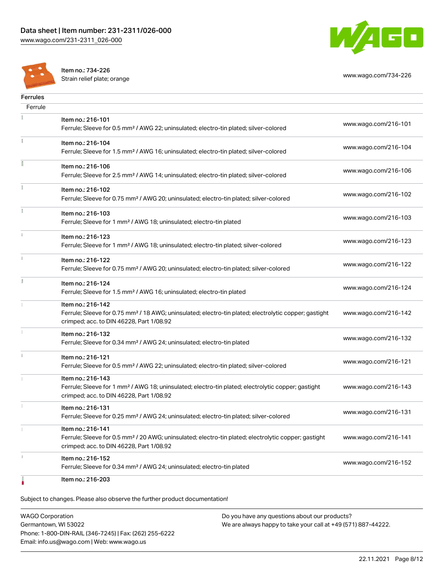



Item no.: 734-226

Strain relief plate; orange [www.wago.com/734-226](http://www.wago.com/734-226)

| <b>Ferrules</b> |                                                                                                                                                                                    |                      |
|-----------------|------------------------------------------------------------------------------------------------------------------------------------------------------------------------------------|----------------------|
| Ferrule         |                                                                                                                                                                                    |                      |
|                 | Item no.: 216-101<br>Ferrule; Sleeve for 0.5 mm <sup>2</sup> / AWG 22; uninsulated; electro-tin plated; silver-colored                                                             | www.wago.com/216-101 |
|                 | Item no.: 216-104<br>Ferrule; Sleeve for 1.5 mm <sup>2</sup> / AWG 16; uninsulated; electro-tin plated; silver-colored                                                             | www.wago.com/216-104 |
| Ē               | Item no.: 216-106<br>Ferrule; Sleeve for 2.5 mm <sup>2</sup> / AWG 14; uninsulated; electro-tin plated; silver-colored                                                             | www.wago.com/216-106 |
| Ĭ               | Item no.: 216-102<br>Ferrule; Sleeve for 0.75 mm <sup>2</sup> / AWG 20; uninsulated; electro-tin plated; silver-colored                                                            | www.wago.com/216-102 |
| Ĭ               | Item no.: 216-103<br>Ferrule; Sleeve for 1 mm <sup>2</sup> / AWG 18; uninsulated; electro-tin plated                                                                               | www.wago.com/216-103 |
| i.              | Item no.: 216-123<br>Ferrule; Sleeve for 1 mm <sup>2</sup> / AWG 18; uninsulated; electro-tin plated; silver-colored                                                               | www.wago.com/216-123 |
| ī.              | Item no.: 216-122<br>Ferrule; Sleeve for 0.75 mm <sup>2</sup> / AWG 20; uninsulated; electro-tin plated; silver-colored                                                            | www.wago.com/216-122 |
| ă.              | Item no.: 216-124<br>Ferrule; Sleeve for 1.5 mm <sup>2</sup> / AWG 16; uninsulated; electro-tin plated                                                                             | www.wago.com/216-124 |
|                 | Item no.: 216-142<br>Ferrule; Sleeve for 0.75 mm <sup>2</sup> / 18 AWG; uninsulated; electro-tin plated; electrolytic copper; gastight<br>crimped; acc. to DIN 46228, Part 1/08.92 | www.wago.com/216-142 |
|                 | Item no.: 216-132<br>Ferrule; Sleeve for 0.34 mm <sup>2</sup> / AWG 24; uninsulated; electro-tin plated                                                                            | www.wago.com/216-132 |
| î.              | Item no.: 216-121<br>Ferrule; Sleeve for 0.5 mm <sup>2</sup> / AWG 22; uninsulated; electro-tin plated; silver-colored                                                             | www.wago.com/216-121 |
|                 | Item no.: 216-143<br>Ferrule; Sleeve for 1 mm <sup>2</sup> / AWG 18; uninsulated; electro-tin plated; electrolytic copper; gastight<br>crimped; acc. to DIN 46228, Part 1/08.92    | www.wago.com/216-143 |
|                 | Item no.: 216-131<br>Ferrule; Sleeve for 0.25 mm <sup>2</sup> / AWG 24; uninsulated; electro-tin plated; silver-colored                                                            | www.wago.com/216-131 |
|                 | Item no.: 216-141<br>Ferrule; Sleeve for 0.5 mm <sup>2</sup> / 20 AWG; uninsulated; electro-tin plated; electrolytic copper; gastight<br>crimped; acc. to DIN 46228, Part 1/08.92  | www.wago.com/216-141 |
| I.              | Item no.: 216-152<br>Ferrule; Sleeve for 0.34 mm <sup>2</sup> / AWG 24; uninsulated; electro-tin plated                                                                            | www.wago.com/216-152 |
|                 | Item no.: 216-203                                                                                                                                                                  |                      |

Subject to changes. Please also observe the further product documentation!

WAGO Corporation Germantown, WI 53022 Phone: 1-800-DIN-RAIL (346-7245) | Fax: (262) 255-6222 Email: info.us@wago.com | Web: www.wago.us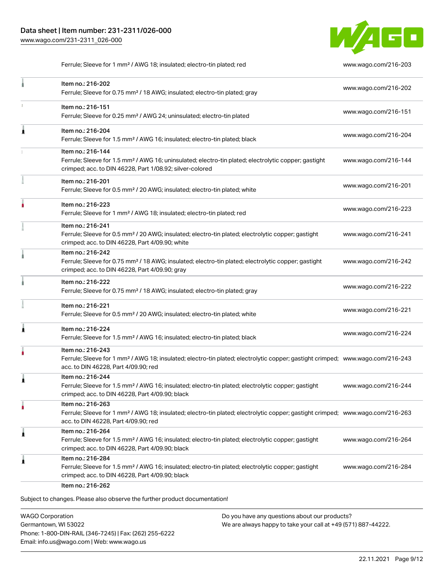

Ferrule; Sleeve for 1 mm² / AWG 18; insulated; electro-tin plated; red [www.wago.com/216-203](http://www.wago.com/216-203)

|   | Item no.: 216-202<br>Ferrule; Sleeve for 0.75 mm <sup>2</sup> / 18 AWG; insulated; electro-tin plated; gray                                                                                             | www.wago.com/216-202 |
|---|---------------------------------------------------------------------------------------------------------------------------------------------------------------------------------------------------------|----------------------|
| ı | Item no.: 216-151<br>Ferrule; Sleeve for 0.25 mm <sup>2</sup> / AWG 24; uninsulated; electro-tin plated                                                                                                 | www.wago.com/216-151 |
| Â | Item no.: 216-204<br>Ferrule; Sleeve for 1.5 mm <sup>2</sup> / AWG 16; insulated; electro-tin plated; black                                                                                             | www.wago.com/216-204 |
|   | Item no.: 216-144<br>Ferrule; Sleeve for 1.5 mm <sup>2</sup> / AWG 16; uninsulated; electro-tin plated; electrolytic copper; gastight<br>crimped; acc. to DIN 46228, Part 1/08.92; silver-colored       | www.wago.com/216-144 |
|   | Item no.: 216-201<br>Ferrule; Sleeve for 0.5 mm <sup>2</sup> / 20 AWG; insulated; electro-tin plated; white                                                                                             | www.wago.com/216-201 |
|   | Item no.: 216-223<br>Ferrule; Sleeve for 1 mm <sup>2</sup> / AWG 18; insulated; electro-tin plated; red                                                                                                 | www.wago.com/216-223 |
|   | Item no.: 216-241<br>Ferrule; Sleeve for 0.5 mm <sup>2</sup> / 20 AWG; insulated; electro-tin plated; electrolytic copper; gastight<br>crimped; acc. to DIN 46228, Part 4/09.90; white                  | www.wago.com/216-241 |
|   | Item no.: 216-242<br>Ferrule; Sleeve for 0.75 mm <sup>2</sup> / 18 AWG; insulated; electro-tin plated; electrolytic copper; gastight<br>crimped; acc. to DIN 46228, Part 4/09.90; gray                  | www.wago.com/216-242 |
|   | Item no.: 216-222<br>Ferrule; Sleeve for 0.75 mm <sup>2</sup> / 18 AWG; insulated; electro-tin plated; gray                                                                                             | www.wago.com/216-222 |
|   | Item no.: 216-221<br>Ferrule; Sleeve for 0.5 mm <sup>2</sup> / 20 AWG; insulated; electro-tin plated; white                                                                                             | www.wago.com/216-221 |
| 1 | Item no.: 216-224<br>Ferrule; Sleeve for 1.5 mm <sup>2</sup> / AWG 16; insulated; electro-tin plated; black                                                                                             | www.wago.com/216-224 |
|   | Item no.: 216-243<br>Ferrule; Sleeve for 1 mm <sup>2</sup> / AWG 18; insulated; electro-tin plated; electrolytic copper; gastight crimped; www.wago.com/216-243<br>acc. to DIN 46228, Part 4/09.90; red |                      |
| 1 | Item no.: 216-244<br>Ferrule; Sleeve for 1.5 mm <sup>2</sup> / AWG 16; insulated; electro-tin plated; electrolytic copper; gastight<br>crimped; acc. to DIN 46228, Part 4/09.90; black                  | www.wago.com/216-244 |
| ٠ | Item no.: 216-263<br>Ferrule; Sleeve for 1 mm <sup>2</sup> / AWG 18; insulated; electro-tin plated; electrolytic copper; gastight crimped; www.wago.com/216-263<br>acc. to DIN 46228, Part 4/09.90; red |                      |
| 1 | Item no.: 216-264<br>Ferrule; Sleeve for 1.5 mm <sup>2</sup> / AWG 16; insulated; electro-tin plated; electrolytic copper; gastight<br>crimped; acc. to DIN 46228, Part 4/09.90; black                  | www.wago.com/216-264 |
| Â | Item no.: 216-284<br>Ferrule; Sleeve for 1.5 mm <sup>2</sup> / AWG 16; insulated; electro-tin plated; electrolytic copper; gastight<br>crimped; acc. to DIN 46228, Part 4/09.90; black                  | www.wago.com/216-284 |

WAGO Corporation Germantown, WI 53022 Phone: 1-800-DIN-RAIL (346-7245) | Fax: (262) 255-6222 Email: info.us@wago.com | Web: www.wago.us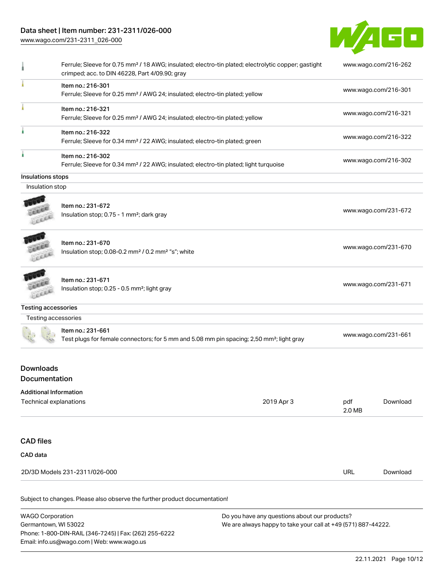### Data sheet | Item number: 231-2311/026-000

Phone: 1-800-DIN-RAIL (346-7245) | Fax: (262) 255-6222

Email: info.us@wago.com | Web: www.wago.us

[www.wago.com/231-2311\\_026-000](http://www.wago.com/231-2311_026-000)



| ٠                                                       | Ferrule; Sleeve for 0.75 mm <sup>2</sup> / 18 AWG; insulated; electro-tin plated; electrolytic copper; gastight<br>crimped; acc. to DIN 46228, Part 4/09.90; gray |                                                                                                                |               | www.wago.com/216-262 |
|---------------------------------------------------------|-------------------------------------------------------------------------------------------------------------------------------------------------------------------|----------------------------------------------------------------------------------------------------------------|---------------|----------------------|
|                                                         | Item no.: 216-301<br>Ferrule; Sleeve for 0.25 mm <sup>2</sup> / AWG 24; insulated; electro-tin plated; yellow                                                     |                                                                                                                |               | www.wago.com/216-301 |
|                                                         | Item no.: 216-321<br>Ferrule; Sleeve for 0.25 mm <sup>2</sup> / AWG 24; insulated; electro-tin plated; yellow                                                     |                                                                                                                |               | www.wago.com/216-321 |
|                                                         | Item no.: 216-322<br>Ferrule; Sleeve for 0.34 mm <sup>2</sup> / 22 AWG; insulated; electro-tin plated; green                                                      |                                                                                                                |               | www.wago.com/216-322 |
|                                                         | Item no.: 216-302<br>Ferrule; Sleeve for 0.34 mm <sup>2</sup> / 22 AWG; insulated; electro-tin plated; light turquoise                                            |                                                                                                                |               | www.wago.com/216-302 |
| Insulations stops                                       |                                                                                                                                                                   |                                                                                                                |               |                      |
| Insulation stop                                         |                                                                                                                                                                   |                                                                                                                |               |                      |
|                                                         | Item no.: 231-672<br>Insulation stop; 0.75 - 1 mm <sup>2</sup> ; dark gray                                                                                        |                                                                                                                |               | www.wago.com/231-672 |
|                                                         | Item no.: 231-670<br>Insulation stop; 0.08-0.2 mm <sup>2</sup> / 0.2 mm <sup>2</sup> "s"; white                                                                   |                                                                                                                |               | www.wago.com/231-670 |
|                                                         | Item no.: 231-671<br>Insulation stop; 0.25 - 0.5 mm <sup>2</sup> ; light gray                                                                                     |                                                                                                                |               | www.wago.com/231-671 |
| <b>Testing accessories</b>                              |                                                                                                                                                                   |                                                                                                                |               |                      |
| Testing accessories                                     |                                                                                                                                                                   |                                                                                                                |               |                      |
|                                                         | Item no.: 231-661<br>Test plugs for female connectors; for 5 mm and 5.08 mm pin spacing; 2,50 mm <sup>2</sup> ; light gray                                        |                                                                                                                |               | www.wago.com/231-661 |
| <b>Downloads</b><br><b>Documentation</b>                |                                                                                                                                                                   |                                                                                                                |               |                      |
| <b>Additional Information</b><br>Technical explanations |                                                                                                                                                                   | 2019 Apr 3                                                                                                     | pdf<br>2.0 MB | Download             |
| <b>CAD files</b>                                        |                                                                                                                                                                   |                                                                                                                |               |                      |
| <b>CAD</b> data                                         |                                                                                                                                                                   |                                                                                                                |               |                      |
|                                                         | 2D/3D Models 231-2311/026-000                                                                                                                                     |                                                                                                                | <b>URL</b>    | Download             |
|                                                         | Subject to changes. Please also observe the further product documentation!                                                                                        |                                                                                                                |               |                      |
| <b>WAGO Corporation</b><br>Germantown, WI 53022         |                                                                                                                                                                   | Do you have any questions about our products?<br>We are always happy to take your call at +49 (571) 887-44222. |               |                      |

22.11.2021 Page 10/12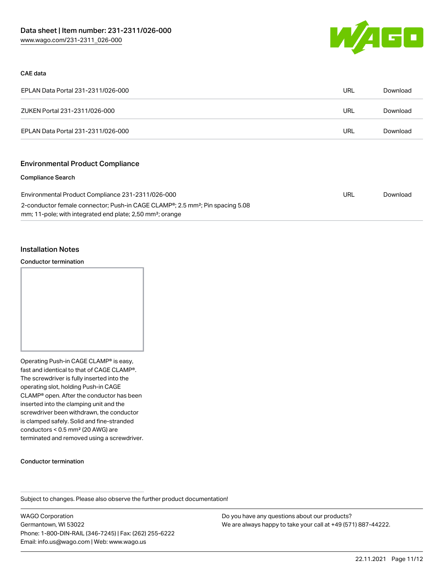

#### CAE data

| EPLAN Data Portal 231-2311/026-000 | URL | Download |
|------------------------------------|-----|----------|
| ZUKEN Portal 231-2311/026-000      | URL | Download |
| EPLAN Data Portal 231-2311/026-000 | URL | Download |

### Environmental Product Compliance

#### Compliance Search

| Environmental Product Compliance 231-2311/026-000                                                      | URL | Download |
|--------------------------------------------------------------------------------------------------------|-----|----------|
| 2-conductor female connector; Push-in CAGE CLAMP <sup>®</sup> ; 2.5 mm <sup>2</sup> ; Pin spacing 5.08 |     |          |
| mm; 11-pole; with integrated end plate; 2,50 mm <sup>2</sup> ; orange                                  |     |          |

#### Installation Notes

#### Conductor termination



Operating Push-in CAGE CLAMP® is easy, fast and identical to that of CAGE CLAMP®. The screwdriver is fully inserted into the operating slot, holding Push-in CAGE CLAMP® open. After the conductor has been inserted into the clamping unit and the screwdriver been withdrawn, the conductor is clamped safely. Solid and fine-stranded conductors < 0.5 mm² (20 AWG) are terminated and removed using a screwdriver.

#### Conductor termination

Subject to changes. Please also observe the further product documentation!

WAGO Corporation Germantown, WI 53022 Phone: 1-800-DIN-RAIL (346-7245) | Fax: (262) 255-6222 Email: info.us@wago.com | Web: www.wago.us